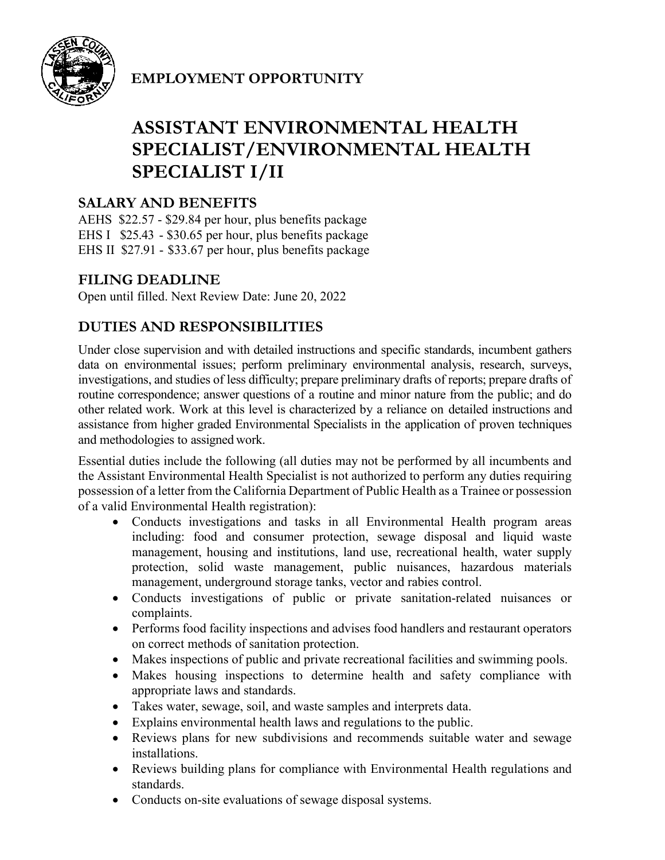

**EMPLOYMENT OPPORTUNITY** 

# **ASSISTANT ENVIRONMENTAL HEALTH SPECIALIST/ENVIRONMENTAL HEALTH SPECIALIST I/II**

# **SALARY AND BENEFITS**

AEHS \$22.57 - \$29.84 per hour, plus benefits package EHS I \$25.43 - \$30.65 per hour, plus benefits package EHS II \$27.91 - \$33.67 per hour, plus benefits package

# **FILING DEADLINE**

Open until filled. Next Review Date: June 20, 2022

# **DUTIES AND RESPONSIBILITIES**

Under close supervision and with detailed instructions and specific standards, incumbent gathers data on environmental issues; perform preliminary environmental analysis, research, surveys, investigations, and studies of less difficulty; prepare preliminary drafts of reports; prepare drafts of routine correspondence; answer questions of a routine and minor nature from the public; and do other related work. Work at this level is characterized by a reliance on detailed instructions and assistance from higher graded Environmental Specialists in the application of proven techniques and methodologies to assigned work.

Essential duties include the following (all duties may not be performed by all incumbents and the Assistant Environmental Health Specialist is not authorized to perform any duties requiring possession of a letter from the California Department of Public Health as a Trainee or possession of a valid Environmental Health registration):

- Conducts investigations and tasks in all Environmental Health program areas including: food and consumer protection, sewage disposal and liquid waste management, housing and institutions, land use, recreational health, water supply protection, solid waste management, public nuisances, hazardous materials management, underground storage tanks, vector and rabies control.
- Conducts investigations of public or private sanitation-related nuisances or complaints.
- Performs food facility inspections and advises food handlers and restaurant operators on correct methods of sanitation protection.
- Makes inspections of public and private recreational facilities and swimming pools.
- Makes housing inspections to determine health and safety compliance with appropriate laws and standards.
- Takes water, sewage, soil, and waste samples and interprets data.
- Explains environmental health laws and regulations to the public.
- Reviews plans for new subdivisions and recommends suitable water and sewage installations.
- Reviews building plans for compliance with Environmental Health regulations and standards.
- Conducts on-site evaluations of sewage disposal systems.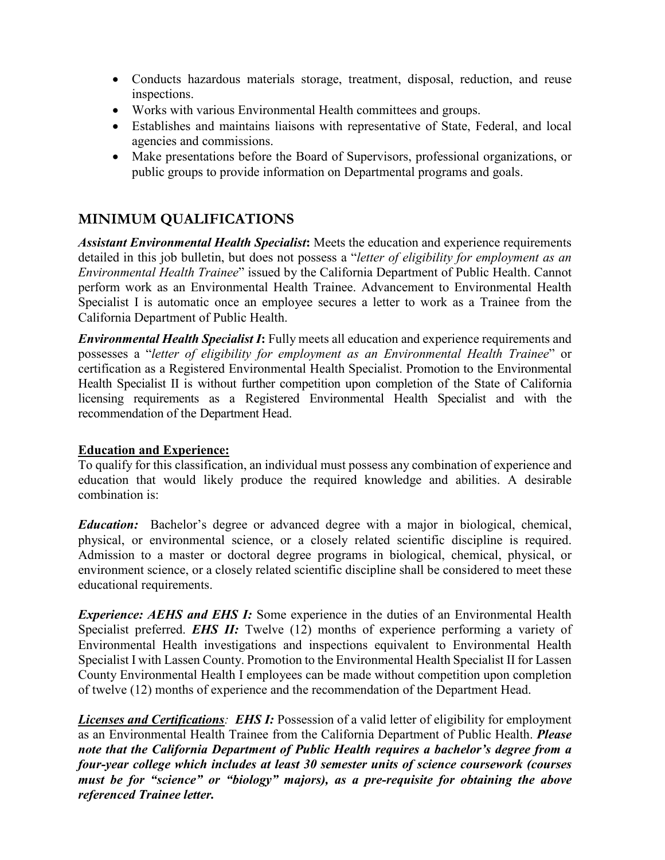- Conducts hazardous materials storage, treatment, disposal, reduction, and reuse inspections.
- Works with various Environmental Health committees and groups.
- Establishes and maintains liaisons with representative of State, Federal, and local agencies and commissions.
- Make presentations before the Board of Supervisors, professional organizations, or public groups to provide information on Departmental programs and goals.

# **MINIMUM QUALIFICATIONS**

*Assistant Environmental Health Specialist***:** Meets the education and experience requirements detailed in this job bulletin, but does not possess a "*letter of eligibility for employment as an Environmental Health Trainee*" issued by the California Department of Public Health. Cannot perform work as an Environmental Health Trainee. Advancement to Environmental Health Specialist I is automatic once an employee secures a letter to work as a Trainee from the California Department of Public Health.

*Environmental Health Specialist I***:** Fully meets all education and experience requirements and possesses a "*letter of eligibility for employment as an Environmental Health Trainee*" or certification as a Registered Environmental Health Specialist. Promotion to the Environmental Health Specialist II is without further competition upon completion of the State of California licensing requirements as a Registered Environmental Health Specialist and with the recommendation of the Department Head.

#### **Education and Experience:**

To qualify for this classification, an individual must possess any combination of experience and education that would likely produce the required knowledge and abilities. A desirable combination is:

*Education:* Bachelor's degree or advanced degree with a major in biological, chemical, physical, or environmental science, or a closely related scientific discipline is required. Admission to a master or doctoral degree programs in biological, chemical, physical, or environment science, or a closely related scientific discipline shall be considered to meet these educational requirements.

*Experience: AEHS and EHS I:* Some experience in the duties of an Environmental Health Specialist preferred. *EHS II:* Twelve (12) months of experience performing a variety of Environmental Health investigations and inspections equivalent to Environmental Health Specialist I with Lassen County. Promotion to the Environmental Health Specialist II for Lassen County Environmental Health I employees can be made without competition upon completion of twelve (12) months of experience and the recommendation of the Department Head.

*Licenses and Certifications: EHS I:* Possession of a valid letter of eligibility for employment as an Environmental Health Trainee from the California Department of Public Health. *Please note that the California Department of Public Health requires a bachelor's degree from a four-year college which includes at least 30 semester units of science coursework (courses must be for "science" or "biology" majors), as a pre-requisite for obtaining the above referenced Trainee letter.*